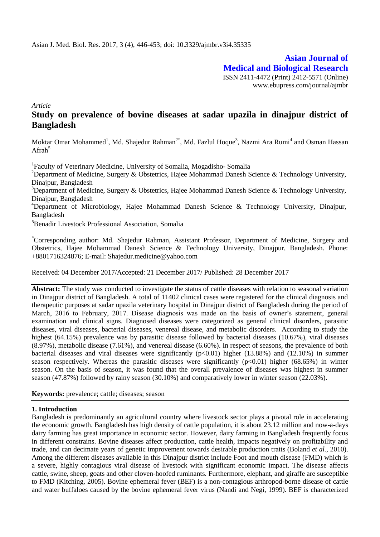**Asian Journal of Medical and Biological Research** ISSN 2411-4472 (Print) 2412-5571 (Online) www.ebupress.com/journal/ajmbr

*Article*

# **Study on prevalence of bovine diseases at sadar upazila in dinajpur district of Bangladesh**

Moktar Omar Mohammed<sup>1</sup>, Md. Shajedur Rahman<sup>2\*</sup>, Md. Fazlul Hoque<sup>3</sup>, Nazmi Ara Rumi<sup>4</sup> and Osman Hassan  $A$ frah<sup>5</sup>

<sup>1</sup>Faculty of Veterinary Medicine, University of Somalia, Mogadisho-Somalia

<sup>2</sup>Department of Medicine, Surgery & Obstetrics, Hajee Mohammad Danesh Science & Technology University, Dinajpur, Bangladesh

<sup>3</sup>Department of Medicine, Surgery & Obstetrics, Hajee Mohammad Danesh Science & Technology University, Dinajpur, Bangladesh

<sup>4</sup>Department of Microbiology, Hajee Mohammad Danesh Science & Technology University, Dinajpur, Bangladesh

<sup>5</sup>Benadir Livestock Professional Association, Somalia

\*Corresponding author: Md. Shajedur Rahman, Assistant Professor, Department of Medicine, Surgery and Obstetrics, Hajee Mohammad Danesh Science & Technology University, Dinajpur, Bangladesh. Phone: +8801716324876; E-mail: Shajedur.medicine@yahoo.com

Received: 04 December 2017/Accepted: 21 December 2017/ Published: 28 December 2017

**Abstract:** The study was conducted to investigate the status of cattle diseases with relation to seasonal variation in Dinajpur district of Bangladesh. A total of 11402 clinical cases were registered for the clinical diagnosis and therapeutic purposes at sadar upazila veterinary hospital in Dinajpur district of Bangladesh during the period of March, 2016 to February, 2017. Disease diagnosis was made on the basis of owner's statement, general examination and clinical signs. Diagnosed diseases were categorized as general clinical disorders, parasitic diseases, viral diseases, bacterial diseases, venereal disease, and metabolic disorders. According to study the highest (64.15%) prevalence was by parasitic disease followed by bacterial diseases (10.67%), viral diseases (8.97%), metabolic disease (7.61%), and venereal disease (6.60%). In respect of seasons, the prevalence of both bacterial diseases and viral diseases were significantly  $(p<0.01)$  higher (13.88%) and (12.10%) in summer season respectively. Whereas the parasitic diseases were significantly  $(p<0.01)$  higher (68.65%) in winter season. On the basis of season, it was found that the overall prevalence of diseases was highest in summer season (47.87%) followed by rainy season (30.10%) and comparatively lower in winter season (22.03%).

**Keywords:** prevalence; cattle; diseases; season

#### **1. Introduction**

Bangladesh is predominantly an agricultural country where livestock sector plays a pivotal role in accelerating the economic growth. Bangladesh has high density of cattle population, it is about 23.12 million and now-a-days dairy farming has great importance in economic sector. However, dairy farming in Bangladesh frequently focus in different constrains. Bovine diseases affect production, cattle health, impacts negatively on profitability and trade, and can decimate years of genetic improvement towards desirable production traits (Boland *et al.*, 2010). Among the different diseases available in this Dinajpur district include Foot and mouth disease (FMD) which is a severe, highly contagious viral disease of livestock with significant economic impact. The disease affects cattle, swine, sheep, goats and other cloven-hoofed ruminants. Furthermore, elephant, and giraffe are susceptible to FMD (Kitching, 2005). Bovine ephemeral fever (BEF) is a non-contagious arthropod-borne disease of cattle and water buffaloes caused by the bovine ephemeral fever virus (Nandi and Negi, 1999). BEF is characterized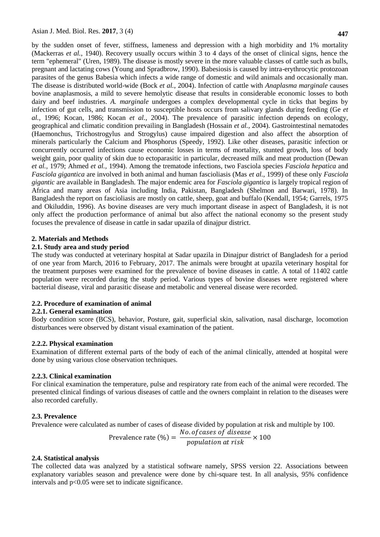by the sudden onset of fever, stiffness, lameness and depression with a high morbidity and 1% mortality (Mackerras *et al.*, 1940). Recovery usually occurs within 3 to 4 days of the onset of clinical signs, hence the term "ephemeral" (Uren, 1989). The disease is mostly severe in the more valuable classes of cattle such as bulls, pregnant and lactating cows (Young and Spradbrow, 1990). Babesiosis is caused by intra-erythrocytic protozoan parasites of the genus Babesia which infects a wide range of domestic and wild animals and occasionally man. The disease is distributed world-wide (Bock *et al.*, 2004). Infection of cattle with *Anaplasma marginale* causes bovine anaplasmosis, a mild to severe hemolytic disease that results in considerable economic losses to both dairy and beef industries. *A. marginale* undergoes a complex developmental cycle in ticks that begins by infection of gut cells, and transmission to susceptible hosts occurs from salivary glands during feeding (Ge *et al.*, 1996; Kocan, 1986; Kocan *et al.*, 2004). The prevalence of parasitic infection depends on ecology, geographical and climatic condition prevailing in Bangladesh (Hossain *et al.,* 2004). Gastrointestinal nematodes (Haemonchus, Trichostrogylus and Strogylus) cause impaired digestion and also affect the absorption of minerals particularly the Calcium and Phosphorus (Speedy, 1992). Like other diseases, parasitic infection or concurrently occurred infections cause economic losses in terms of mortality, stunted growth, loss of body weight gain, poor quality of skin due to ectoparasitic in particular, decreased milk and meat production (Dewan *et al.,* 1979; Ahmed *et al.,* 1994). Among the trematode infections, two Fasciola species *Fasciola hepatica* and *Fasciola gigantica* are involved in both animal and human fascioliasis (Mas *et al.,* 1999) of these only *Fasciola gigantic* are available in Bangladesh. The major endemic area for *Fasciola gigantica* is largely tropical region of Africa and many areas of Asia including India, Pakistan, Bangladesh (Shelmon and Barwari, 1978). In Bangladesh the report on fascioliasis are mostly on cattle, sheep, goat and buffalo (Kendall, 1954; Garrels, 1975 and Okiluddin, 1996). As bovine diseases are very much important disease in aspect of Bangladesh, it is not only affect the production performance of animal but also affect the national economy so the present study focuses the prevalence of disease in cattle in sadar upazila of dinajpur district.

#### **2. Materials and Methods**

#### **2.1. Study area and study period**

The study was conducted at veterinary hospital at Sadar upazila in Dinajpur district of Bangladesh for a period of one year from March, 2016 to February, 2017. The animals were brought at upazila veterinary hospital for the treatment purposes were examined for the prevalence of bovine diseases in cattle. A total of 11402 cattle population were recorded during the study period. Various types of bovine diseases were registered where bacterial disease, viral and parasitic disease and metabolic and venereal disease were recorded.

#### **2.2. Procedure of examination of animal**

#### **2.2.1. General examination**

Body condition score (BCS), behavior, Posture, gait, superficial skin, salivation, nasal discharge, locomotion disturbances were observed by distant visual examination of the patient.

#### **2.2.2. Physical examination**

Examination of different external parts of the body of each of the animal clinically, attended at hospital were done by using various close observation techniques.

#### **2.2.3. Clinical examination**

For clinical examination the temperature, pulse and respiratory rate from each of the animal were recorded. The presented clinical findings of various diseases of cattle and the owners complaint in relation to the diseases were also recorded carefully.

#### **2.3. Prevalence**

Prevalence were calculated as number of cases of disease divided by population at risk and multiple by 100. No of cases of disease

$$
Prevalence rate (\%) = \frac{NO. of cases of disease}{population at risk} \times 100
$$

### **2.4. Statistical analysis**

The collected data was analyzed by a statistical software namely, SPSS version 22. Associations between explanatory variables season and prevalence were done by chi-square test. In all analysis, 95% confidence intervals and p<0.05 were set to indicate significance.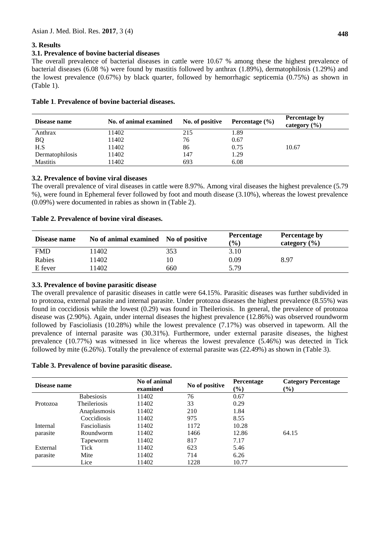# **3. Results**

# **3.1. Prevalence of bovine bacterial diseases**

The overall prevalence of bacterial diseases in cattle were 10.67 % among these the highest prevalence of bacterial diseases (6.08 %) were found by mastitis followed by anthrax (1.89%), dermatophilosis (1.29%) and the lowest prevalence (0.67%) by black quarter, followed by hemorrhagic septicemia (0.75%) as shown in (Table 1).

| Disease name    | No. of animal examined | No. of positive | Percentage $(\% )$ | Percentage by<br>category $(\% )$ |
|-----------------|------------------------|-----------------|--------------------|-----------------------------------|
| Anthrax         | 11402                  | 215             | 1.89               |                                   |
| <b>BQ</b>       | 11402                  | 76              | 0.67               |                                   |
| H.S             | 11402                  | 86              | 0.75               | 10.67                             |
| Dermatophilosis | 11402                  | 147             | 1.29               |                                   |
| <b>Mastitis</b> | 1402                   | 693             | 6.08               |                                   |

**Table 1**. **Prevalence of bovine bacterial diseases.**

# **3.2. Prevalence of bovine viral diseases**

The overall prevalence of viral diseases in cattle were 8.97%. Among viral diseases the highest prevalence (5.79 %), were found in Ephemeral fever followed by foot and mouth disease (3.10%), whereas the lowest prevalence (0.09%) were documented in rabies as shown in (Table 2).

| Disease name | No of animal examined No of positive |     | <b>Percentage</b><br>$\left( \frac{0}{0} \right)$ | <b>Percentage by</b><br>category $(\% )$ |
|--------------|--------------------------------------|-----|---------------------------------------------------|------------------------------------------|
| <b>FMD</b>   | 11402                                | 353 | 3.10                                              |                                          |
| Rabies       | 11402                                | 10  | 0.09                                              | 8.97                                     |
| E fever      | 11402                                | 660 | 5.79                                              |                                          |

### **Table 2. Prevalence of bovine viral diseases.**

# **3.3. Prevalence of bovine parasitic disease**

The overall prevalence of parasitic diseases in cattle were 64.15%. Parasitic diseases was further subdivided in to protozoa, external parasite and internal parasite. Under protozoa diseases the highest prevalence (8.55%) was found in coccidiosis while the lowest (0.29) was found in Theileriosis. In general, the prevalence of protozoa disease was (2.90%). Again, under internal diseases the highest prevalence (12.86%) was observed roundworm followed by Fascioliasis (10.28%) while the lowest prevalence (7.17%) was observed in tapeworm. All the prevalence of internal parasite was (30.31%). Furthermore, under external parasite diseases, the highest prevalence (10.77%) was witnessed in lice whereas the lowest prevalence (5.46%) was detected in Tick followed by mite (6.26%). Totally the prevalence of external parasite was (22.49%) as shown in (Table 3).

### **Table 3. Prevalence of bovine parasitic disease.**

| Disease name |                     | No of animal<br>examined | No of positive | <b>Percentage</b><br>$\left( \frac{0}{0} \right)$ | <b>Category Percentage</b><br>$(\%)$ |
|--------------|---------------------|--------------------------|----------------|---------------------------------------------------|--------------------------------------|
|              | <b>Babesiosis</b>   | 11402                    | 76             | 0.67                                              |                                      |
| Protozoa     | Theileriosis        | 11402                    | 33             | 0.29                                              |                                      |
|              | Anaplasmosis        | 11402                    | 210            | 1.84                                              |                                      |
|              | Coccidiosis         | 11402                    | 975            | 8.55                                              |                                      |
| Internal     | <b>Fascioliasis</b> | 11402                    | 1172           | 10.28                                             |                                      |
| parasite     | Roundworm           | 11402                    | 1466           | 12.86                                             | 64.15                                |
|              | Tapeworm            | 11402                    | 817            | 7.17                                              |                                      |
| External     | Tick                | 11402                    | 623            | 5.46                                              |                                      |
| parasite     | Mite                | 11402                    | 714            | 6.26                                              |                                      |
|              | Lice                | 11402                    | 1228           | 10.77                                             |                                      |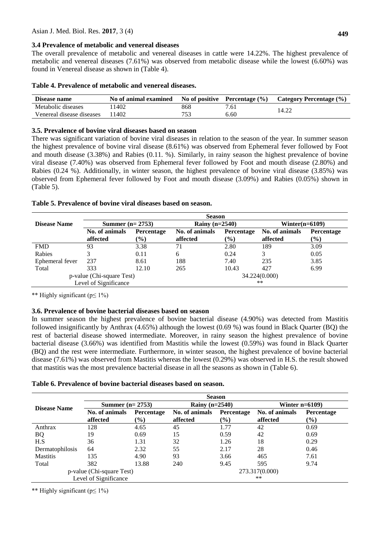### **3.4 Prevalence of metabolic and venereal diseases**

The overall prevalence of metabolic and venereal diseases in cattle were 14.22%. The highest prevalence of metabolic and venereal diseases (7.61%) was observed from metabolic disease while the lowest (6.60%) was found in Venereal disease as shown in (Table 4).

| Disease name              | No of animal examined |     | <b>No of positive</b> Percentage $(\%)$ | Category Percentage (%) |
|---------------------------|-----------------------|-----|-----------------------------------------|-------------------------|
| Metabolic diseases        | 1402                  | 868 | 7.61                                    | 14.22                   |
| Venereal disease diseases | 1402                  | 753 | 6.60                                    |                         |

## **3.5. Prevalence of bovine viral diseases based on season**

There was significant variation of bovine viral diseases in relation to the season of the year. In summer season the highest prevalence of bovine viral disease (8.61%) was observed from Ephemeral fever followed by Foot and mouth disease (3.38%) and Rabies (0.11. %). Similarly, in rainy season the highest prevalence of bovine viral disease (7.40%) was observed from Ephemeral fever followed by Foot and mouth disease (2.80%) and Rabies (0.24 %). Additionally, in winter season, the highest prevalence of bovine viral disease (3.85%) was observed from Ephemeral fever followed by Foot and mouth disease (3.09%) and Rabies (0.05%) shown in (Table 5).

### **Table 5. Prevalence of bovine viral diseases based on season.**

|                           | <b>Season</b>         |            |                  |               |                   |            |
|---------------------------|-----------------------|------------|------------------|---------------|-------------------|------------|
| <b>Disease Name</b>       | Summer $(n=2753)$     |            | Rainy $(n=2540)$ |               | Winter $(n=6109)$ |            |
|                           | No. of animals        | Percentage | No. of animals   | Percentage    | No. of animals    | Percentage |
|                           | affected              | $(\%)$     | affected         | $\frac{6}{6}$ | affected          | $(\%)$     |
| <b>FMD</b>                | 93                    | 3.38       |                  | 2.80          | 189               | 3.09       |
| Rabies                    |                       | 0.11       | 6                | 0.24          | 3                 | 0.05       |
| Ephemeral fever           | 237                   | 8.61       | 188              | 7.40          | 235               | 3.85       |
| Total                     | 333                   | 12.10      | 265              | 10.43         | 427               | 6.99       |
| p-value (Chi-square Test) |                       |            |                  |               | 34.224(0.000)     |            |
|                           | Level of Significance |            |                  |               | $***$             |            |

\*\* Highly significant (p≤ 1%)

### **3.6. Prevalence of bovine bacterial diseases based on season**

In summer season the highest prevalence of bovine bacterial disease (4.90%) was detected from Mastitis followed insignificantly by Anthrax (4.65%) although the lowest (0.69 %) was found in Black Quarter (BQ) the rest of bacterial disease showed intermediate. Moreover, in rainy season the highest prevalence of bovine bacterial disease (3.66%) was identified from Mastitis while the lowest (0.59%) was found in Black Quarter (BQ) and the rest were intermediate. Furthermore, in winter season, the highest prevalence of bovine bacterial disease (7.61%) was observed from Mastitis whereas the lowest (0.29%) was observed in H.S. the result showed that mastitis was the most prevalence bacterial disease in all the seasons as shown in (Table 6).

#### **Table 6. Prevalence of bovine bacterial diseases based on season.**

|                     | <b>Season</b>             |                              |                |                  |                |                   |  |
|---------------------|---------------------------|------------------------------|----------------|------------------|----------------|-------------------|--|
| <b>Disease Name</b> | Summer $(n=2753)$         |                              |                | Rainy $(n=2540)$ |                | Winter $n=6109$   |  |
|                     | No. of animals            | Percentage                   | No. of animals | Percentage       | No. of animals | <b>Percentage</b> |  |
|                     | affected                  | $\left( \frac{0}{0} \right)$ | affected       | $(\%)$           | affected       | $\frac{6}{6}$     |  |
| Anthrax             | 128                       | 4.65                         | 45             | 1.77             | 42             | 0.69              |  |
| <b>BQ</b>           | 19                        | 0.69                         | 15             | 0.59             | 42             | 0.69              |  |
| H.S                 | 36                        | 1.31                         | 32             | 1.26             | 18             | 0.29              |  |
| Dermatophilosis     | 64                        | 2.32                         | 55             | 2.17             | 28             | 0.46              |  |
| <b>Mastitis</b>     | 135                       | 4.90                         | 93             | 3.66             | 465            | 7.61              |  |
| Total               | 382                       | 13.88                        | 240            | 9.45             | 595            | 9.74              |  |
|                     | p-value (Chi-square Test) |                              |                |                  | 273.317(0.000) |                   |  |
|                     | Level of Significance     |                              |                |                  | $***$          |                   |  |

\*\* Highly significant (p≤ 1%)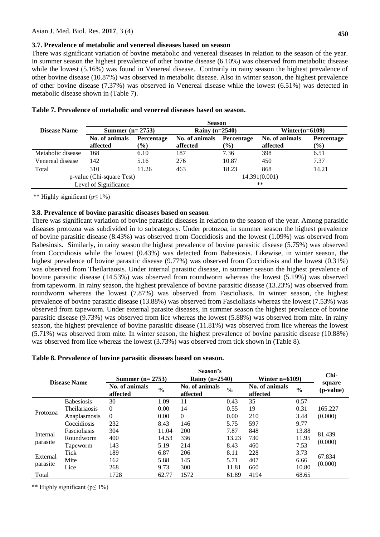#### **3.7. Prevalence of metabolic and venereal diseases based on season**

There was significant variation of bovine metabolic and venereal diseases in relation to the season of the year. In summer season the highest prevalence of other bovine disease (6.10%) was observed from metabolic disease while the lowest (5.16%) was found in Venereal disease. Contrarily in rainy season the highest prevalence of other bovine disease (10.87%) was observed in metabolic disease. Also in winter season, the highest prevalence of other bovine disease (7.37%) was observed in Venereal disease while the lowest (6.51%) was detected in metabolic disease shown in (Table 7).

|                           | <b>Season</b>              |                      |                            |                      |                            |                             |
|---------------------------|----------------------------|----------------------|----------------------------|----------------------|----------------------------|-----------------------------|
| <b>Disease Name</b>       | Summer $(n=2753)$          |                      | Rainy $(n=2540)$           |                      | Winter $(n=6109)$          |                             |
|                           | No. of animals<br>affected | Percentage<br>$(\%)$ | No. of animals<br>affected | Percentage<br>$(\%)$ | No. of animals<br>affected | <b>Percentage</b><br>$(\%)$ |
| Metabolic disease         | 168                        | 6.10                 | 187                        | 7.36                 | 398                        | 6.51                        |
| Venereal disease          | 142                        | 5.16                 | 276                        | 10.87                | 450                        | 7.37                        |
| Total                     | 310                        | 11.26                | 463                        | 18.23                | 868                        | 14.21                       |
| p-value (Chi-square Test) |                            |                      | 14.391(0.001)              |                      |                            |                             |
|                           | Level of Significance      |                      |                            |                      | $**$                       |                             |

|  | Table 7. Prevalence of metabolic and venereal diseases based on season. |  |  |
|--|-------------------------------------------------------------------------|--|--|
|  |                                                                         |  |  |

\*\* Highly significant (p≤ 1%)

### **3.8. Prevalence of bovine parasitic diseases based on season**

There was significant variation of bovine parasitic diseases in relation to the season of the year. Among parasitic diseases protozoa was subdivided in to subcategory. Under protozoa, in summer season the highest prevalence of bovine parasitic disease (8.43%) was observed from Coccidiosis and the lowest (1.09%) was observed from Babesiosis. Similarly, in rainy season the highest prevalence of bovine parasitic disease (5.75%) was observed from Coccidiosis while the lowest (0.43%) was detected from Babesiosis. Likewise, in winter season, the highest prevalence of bovine parasitic disease (9.77%) was observed from Coccidiosis and the lowest (0.31%) was observed from Theilariaosis. Under internal parasitic disease, in summer season the highest prevalence of bovine parasitic disease (14.53%) was observed from roundworm whereas the lowest (5.19%) was observed from tapeworm. In rainy season, the highest prevalence of bovine parasitic disease (13.23%) was observed from roundworm whereas the lowest (7.87%) was observed from Fascioliasis. In winter season, the highest prevalence of bovine parasitic disease (13.88%) was observed from Fascioliasis whereas the lowest (7.53%) was observed from tapeworm. Under external parasite diseases, in summer season the highest prevalence of bovine parasitic disease (9.73%) was observed from lice whereas the lowest (5.88%) was observed from mite. In rainy season, the highest prevalence of bovine parasitic disease (11.81%) was observed from lice whereas the lowest (5.71%) was observed from mite. In winter season, the highest prevalence of bovine parasitic disease (10.88%) was observed from lice whereas the lowest (3.73%) was observed from tick shown in (Table 8).

| Table 8. Prevalence of bovine parasitic diseases based on season. |  |  |  |  |
|-------------------------------------------------------------------|--|--|--|--|
|-------------------------------------------------------------------|--|--|--|--|

| Season's            |                   |                            |               |                            |               |                            |               |                              |
|---------------------|-------------------|----------------------------|---------------|----------------------------|---------------|----------------------------|---------------|------------------------------|
| <b>Disease Name</b> |                   | Summer $(n=2753)$          |               | Rainy $(n=2540)$           |               | Winter $n=6109$            |               | Chi-                         |
|                     |                   | No. of animals<br>affected | $\frac{0}{0}$ | No. of animals<br>affected | $\frac{0}{0}$ | No. of animals<br>affected | $\frac{0}{0}$ | square<br>( <i>p</i> -value) |
|                     | <b>Babesiosis</b> | 30                         | 1.09          | 11                         | 0.43          | 35                         | 0.57          |                              |
| Protozoa            | Theilariaosis     | $\Omega$                   | 0.00          | 14                         | 0.55          | 19                         | 0.31          | 165.227                      |
|                     | Anaplasmosis      | $\Omega$                   | 0.00          | $\Omega$                   | 0.00          | 210                        | 3.44          | (0.000)                      |
|                     | Coccidiosis       | 232                        | 8.43          | 146                        | 5.75          | 597                        | 9.77          |                              |
|                     | Fascioliasis      | 304                        | 11.04         | 200                        | 7.87          | 848                        | 13.88         |                              |
| Internal            | Roundworm         | 400                        | 14.53         | 336                        | 13.23         | 730                        | 11.95         | 81.439                       |
| parasite            | Tapeworm          | 143                        | 5.19          | 214                        | 8.43          | 460                        | 7.53          | (0.000)                      |
|                     | Tick              | 189                        | 6.87          | 206                        | 8.11          | 228                        | 3.73          |                              |
| External            | Mite              | 162                        | 5.88          | 145                        | 5.71          | 407                        | 6.66          | 67.834                       |
| parasite            | Lice              | 268                        | 9.73          | 300                        | 11.81         | 660                        | 10.80         | (0.000)                      |
| Total               |                   | 1728                       | 62.77         | 1572                       | 61.89         | 4194                       | 68.65         |                              |

\*\* Highly significant (p≤ 1%)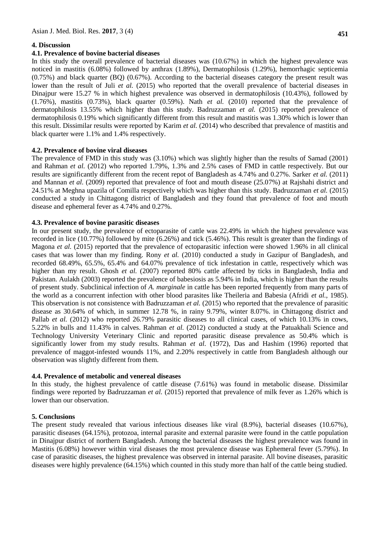# **4. Discussion**

### **4.1. Prevalence of bovine bacterial diseases**

In this study the overall prevalence of bacterial diseases was (10.67%) in which the highest prevalence was noticed in mastitis (6.08%) followed by anthrax (1.89%), Dermatophilosis (1.29%), hemorrhagic septicemia (0.75%) and black quarter (BQ) (0.67%). According to the bacterial diseases category the present result was lower than the result of Juli *et al.* (2015) who reported that the overall prevalence of bacterial diseases in Dinajpur were 15.27 % in which highest prevalence was observed in dermatophilosis (10.43%), followed by (1.76%), mastitis (0.73%), black quarter (0.59%). Nath *et al.* (2010) reported that the prevalence of dermatophilosis 13.55% which higher than this study. Badruzzaman *et al.* (2015) reported prevalence of dermatophilosis 0.19% which significantly different from this result and mastitis was 1.30% which is lower than this result. Dissimilar results were reported by Karim *et al.* (2014) who described that prevalence of mastitis and black quarter were 1.1% and 1.4% respectively.

# **4.2. Prevalence of bovine viral diseases**

The prevalence of FMD in this study was (3.10%) which was slightly higher than the results of Samad (2001) and Rahman *et al.* (2012) who reported 1.79%, 1.3% and 2.5% cases of FMD in cattle respectively. But our results are significantly different from the recent repot of Bangladesh as 4.74% and 0.27%. Sarker *et al.* (2011) and Mannan *et al.* (2009) reported that prevalence of foot and mouth disease (25.07%) at Rajshahi district and 24.51% at Meghna upazila of Comilla respectively which was higher than this study. Badruzzaman *et al.* (2015) conducted a study in Chittagong district of Bangladesh and they found that prevalence of foot and mouth disease and ephemeral fever as 4.74% and 0.27%.

# **4.3. Prevalence of bovine parasitic diseases**

In our present study, the prevalence of ectoparasite of cattle was 22.49% in which the highest prevalence was recorded in lice (10.77%) followed by mite (6.26%) and tick (5.46%). This result is greater than the findings of Magona *et al.* (2015) reported that the prevalence of ectoparasitic infection were showed 1.96% in all clinical cases that was lower than my finding. Rony *et al.* (2010) conducted a study in Gazipur of Bangladesh, and recorded 68.49%, 65.5%, 65.4% and 64.07% prevalence of tick infestation in cattle, respectively which was higher than my result. Ghosh *et al.* (2007) reported 80% cattle affected by ticks in Bangladesh, India and Pakistan. Aulakh (2003) reported the prevalence of babesiosis as 5.94% in India, which is higher than the results of present study. Subclinical infection of *A. marginale* in cattle has been reported frequently from many parts of the world as a concurrent infection with other blood parasites like Theileria and Babesia (Afridi *et al.*, 1985). This observation is not consistence with Badruzzaman *et al.* (2015) who reported that the prevalence of parasitic disease as 30.64% of which, in summer 12.78 %, in rainy 9.79%, winter 8.07%. in Chittagong district and Pallab *et al.* (2012) who reported 26.79% parasitic diseases to all clinical cases, of which 10.13% in cows, 5.22% in bulls and 11.43% in calves. Rahman *et al.* (2012) conducted a study at the Patuakhali Science and Technology University Veterinary Clinic and reported parasitic disease prevalence as 50.4% which is significantly lower from my study results. Rahman *et al.* (1972), Das and Hashim (1996) reported that prevalence of maggot-infested wounds 11%, and 2.20% respectively in cattle from Bangladesh although our observation was slightly different from them.

### **4.4. Prevalence of metabolic and venereal diseases**

In this study, the highest prevalence of cattle disease (7.61%) was found in metabolic disease. Dissimilar findings were reported by Badruzzaman *et al.* (2015) reported that prevalence of milk fever as 1.26% which is lower than our observation.

### **5. Conclusions**

The present study revealed that various infectious diseases like viral (8.9%), bacterial diseases (10.67%), parasitic diseases (64.15%), protozoa, internal parasite and external parasite were found in the cattle population in Dinajpur district of northern Bangladesh. Among the bacterial diseases the highest prevalence was found in Mastitis (6.08%) however within viral diseases the most prevalence disease was Ephemeral fever (5.79%). In case of parasitic diseases, the highest prevalence was observed in internal parasite. All bovine diseases, parasitic diseases were highly prevalence (64.15%) which counted in this study more than half of the cattle being studied.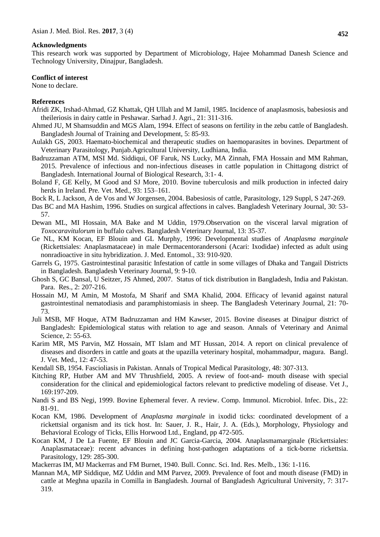#### **Acknowledgments**

This research work was supported by Department of Microbiology, Hajee Mohammad Danesh Science and Technology University, Dinajpur, Bangladesh.

#### **Conflict of interest**

None to declare.

#### **References**

- Afridi ZK, Irshad-Ahmad, GZ Khattak, QH Ullah and M Jamil, 1985. Incidence of anaplasmosis, babesiosis and theileriosis in dairy cattle in Peshawar. Sarhad J. Agri., 21: 311-316.
- Ahmed JU, M Shamsuddin and MGS Alam, 1994. Effect of seasons on fertility in the zebu cattle of Bangladesh. Bangladesh Journal of Training and Development, 5: 85-93.
- Aulakh GS, 2003. Haemato-biochemical and therapeutic studies on haemoparasites in bovines. Department of Veterinary Parasitology, Punjab.Agricultural University, Ludhiana, India.
- Badruzzaman ATM, MSI Md. Siddiqui, OF Faruk, NS Lucky, MA Zinnah, FMA Hossain and MM Rahman, 2015. Prevalence of infectious and non-infectious diseases in cattle population in Chittagong district of Bangladesh. International Journal of Biological Research, 3:1- 4.
- Boland F, GE Kelly, M Good and SJ More, 2010. Bovine tuberculosis and milk production in infected dairy herds in Ireland. Pre. Vet. Med., 93: 153–161.
- Bock R, L Jackson, A de Vos and W Jorgensen, 2004. Babesiosis of cattle, Parasitology, 129 Suppl, S 247-269.
- Das BC and MA Hashim, 1996. Studies on surgical affections in calves. Bangladesh Veterinary Journal, 30: 53- 57.
- Dewan ML, MI Hossain, MA Bake and M Uddin, 1979.Observation on the visceral larval migration of *Toxocaravitulorum* in buffalo calves. Bangladesh Veterinary Journal, 13: 35-37.
- Ge NL, KM Kocan, EF Blouin and GL Murphy, 1996: Developmental studies of *Anaplasma marginale* (Rickettsiales: Anaplasmataceae) in male Dermacentorandersoni (Acari: Ixodidae) infected as adult using nonradioactive in situ hybridization. J. Med. Entomol., 33: 910-920.
- Garrels G, 1975. Gastrointestinal parasitic Infestation of cattle in some villages of Dhaka and Tangail Districts in Bangladesh. Bangladesh Veterinary Journal, 9: 9-10.
- Ghosh S, GC Bansal, U Seitzer, JS Ahmed, 2007. Status of tick distribution in Bangladesh, India and Pakistan. Para. Res., 2: 207-216.
- Hossain MJ, M Amin, M Mostofa, M Sharif and SMA Khalid, 2004. Efficacy of levanid against natural gastrointestinal nematodiasis and paramphistomiasis in sheep. The Bangladesh Veterinary Journal, 21: 70- 73.
- Juli MSB, MF Hoque, ATM Badruzzaman and HM Kawser, 2015. Bovine diseases at Dinajpur district of Bangladesh: Epidemiological status with relation to age and season. Annals of Veterinary and Animal Science, 2: 55-63.
- Karim MR, MS Parvin, MZ Hossain, MT Islam and MT Hussan, 2014. A report on clinical prevalence of diseases and disorders in cattle and goats at the upazilla veterinary hospital, mohammadpur, magura. Bangl. J. Vet. Med., 12: 47-53.
- Kendall SB, 1954. Fascioliasis in Pakistan. Annals of Tropical Medical Parasitology, 48: 307-313.
- Kitching RP, Hutber AM and MV Thrushfield, 2005. A review of foot-and- mouth disease with special consideration for the clinical and epidemiological factors relevant to predictive modeling of disease. Vet J., 169:197-209.
- Nandi S and BS Negi, 1999. Bovine Ephemeral fever. A review. Comp. Immunol. Microbiol. Infec. Dis., 22: 81-91.
- Kocan KM, 1986. Development of *Anaplasma marginale* in ixodid ticks: coordinated development of a rickettsial organism and its tick host. In: Sauer, J. R., Hair, J. A. (Eds.), Morphology, Physiology and Behavioral Ecology of Ticks, Ellis Horwood Ltd., England, pp 472-505.
- Kocan KM, J De La Fuente, EF Blouin and JC Garcia-Garcia, 2004. Anaplasmamarginale (Rickettsiales: Anaplasmataceae): recent advances in defining host-pathogen adaptations of a tick-borne rickettsia. Parasitology, 129: 285-300.
- Mackerras IM, MJ Mackerras and FM Burnet, 1940. Bull. Connc. Sci. Ind. Res. Melb., 136: 1-116.
- Mannan MA, MP Siddique, MZ Uddin and MM Parvez, 2009. Prevalence of foot and mouth disease (FMD) in cattle at Meghna upazila in Comilla in Bangladesh. Journal of Bangladesh Agricultural University, 7: 317- 319.